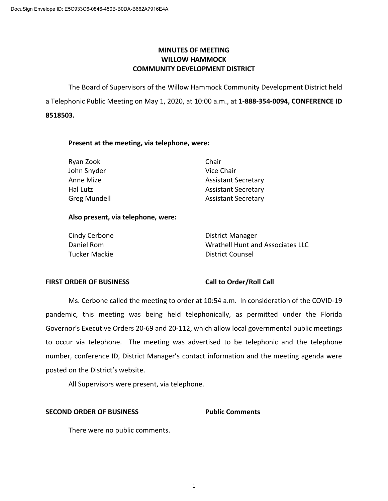# **MINUTES OF MEETING WILLOW HAMMOCK COMMUNITY DEVELOPMENT DISTRICT**

The Board of Supervisors of the Willow Hammock Community Development District held a Telephonic Public Meeting on May 1, 2020, at 10:00 a.m., at **1-888-354-0094, CONFERENCE ID 8518503.** 

## **Present at the meeting, via telephone, were:**

| Ryan Zook           | Chair                      |
|---------------------|----------------------------|
| John Snyder         | Vice Chair                 |
| Anne Mize           | <b>Assistant Secretary</b> |
| Hal Lutz            | <b>Assistant Secretary</b> |
| <b>Greg Mundell</b> | <b>Assistant Secretary</b> |

## **Also present, via telephone, were:**

| Cindy Cerbone | District Manager                 |
|---------------|----------------------------------|
| Daniel Rom    | Wrathell Hunt and Associates LLC |
| Tucker Mackie | District Counsel                 |

### **FIRST ORDER OF BUSINESS Call to Order/Roll Call**

Ms. Cerbone called the meeting to order at 10:54 a.m. In consideration of the COVID-19 pandemic, this meeting was being held telephonically, as permitted under the Florida Governor's Executive Orders 20-69 and 20-112, which allow local governmental public meetings to occur via telephone. The meeting was advertised to be telephonic and the telephone number, conference ID, District Manager's contact information and the meeting agenda were posted on the District's website.

All Supervisors were present, via telephone.

# **SECOND ORDER OF BUSINESS** Public Comments

There were no public comments.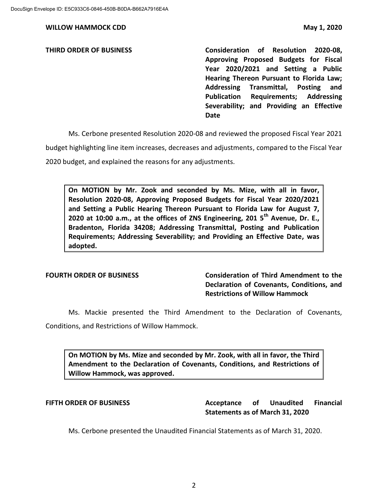**THIRD ORDER OF BUSINESS Consideration of Resolution 2020-08, Approving Proposed Budgets for Fiscal Year 2020/2021 and Setting a Public Hearing Thereon Pursuant to Florida Law; Addressing Transmittal, Posting and Publication Requirements; Addressing Severability; and Providing an Effective Date**

Ms. Cerbone presented Resolution 2020-08 and reviewed the proposed Fiscal Year 2021

budget highlighting line item increases, decreases and adjustments, compared to the Fiscal Year

2020 budget, and explained the reasons for any adjustments.

**On MOTION by Mr. Zook and seconded by Ms. Mize, with all in favor, Resolution 2020-08, Approving Proposed Budgets for Fiscal Year 2020/2021 and Setting a Public Hearing Thereon Pursuant to Florida Law for August 7, 2020 at 10:00 a.m., at the offices of ZNS Engineering, 201 5th Avenue, Dr. E., Bradenton, Florida 34208; Addressing Transmittal, Posting and Publication Requirements; Addressing Severability; and Providing an Effective Date, was adopted.** 

**FOURTH ORDER OF BUSINESS Consideration of Third Amendment to the Declaration of Covenants, Conditions, and Restrictions of Willow Hammock**

Ms. Mackie presented the Third Amendment to the Declaration of Covenants, Conditions, and Restrictions of Willow Hammock.

**On MOTION by Ms. Mize and seconded by Mr. Zook, with all in favor, the Third Amendment to the Declaration of Covenants, Conditions, and Restrictions of Willow Hammock, was approved.**

**FIFTH ORDER OF BUSINESS Acceptance of Unaudited Financial Statements as of March 31, 2020**

Ms. Cerbone presented the Unaudited Financial Statements as of March 31, 2020.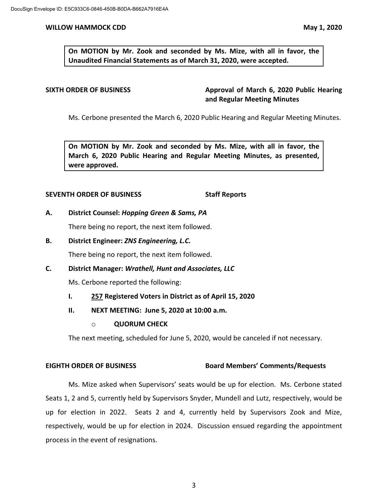**On MOTION by Mr. Zook and seconded by Ms. Mize, with all in favor, the Unaudited Financial Statements as of March 31, 2020, were accepted.** 

**SIXTH ORDER OF BUSINESS Approval of March 6, 2020 Public Hearing and Regular Meeting Minutes**

Ms. Cerbone presented the March 6, 2020 Public Hearing and Regular Meeting Minutes.

**On MOTION by Mr. Zook and seconded by Ms. Mize, with all in favor, the March 6, 2020 Public Hearing and Regular Meeting Minutes, as presented, were approved.**

### **SEVENTH ORDER OF BUSINESS Staff Reports**

### **A. District Counsel:** *Hopping Green & Sams, PA*

There being no report, the next item followed.

**B. District Engineer:** *ZNS Engineering, L.C.*

There being no report, the next item followed.

**C. District Manager:** *Wrathell, Hunt and Associates, LLC*

Ms. Cerbone reported the following:

- **I. 257 Registered Voters in District as of April 15, 2020**
- **II. NEXT MEETING: June 5, 2020 at 10:00 a.m.**
	- o **QUORUM CHECK**

The next meeting, scheduled for June 5, 2020, would be canceled if not necessary.

# **EIGHTH ORDER OF BUSINESS Board Members' Comments/Requests**

Ms. Mize asked when Supervisors' seats would be up for election. Ms. Cerbone stated Seats 1, 2 and 5, currently held by Supervisors Snyder, Mundell and Lutz, respectively, would be up for election in 2022. Seats 2 and 4, currently held by Supervisors Zook and Mize, respectively, would be up for election in 2024. Discussion ensued regarding the appointment process in the event of resignations.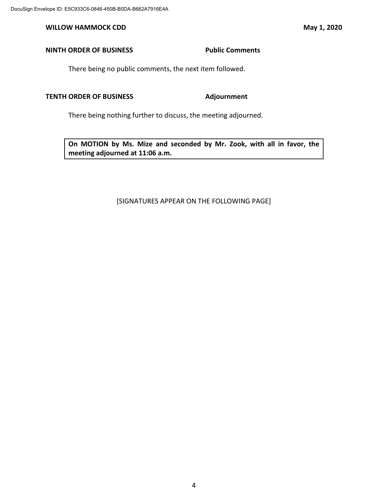# **NINTH ORDER OF BUSINESS** Public Comments

There being no public comments, the next item followed.

### **TENTH ORDER OF BUSINESS Adjournment**

There being nothing further to discuss, the meeting adjourned.

**On MOTION by Ms. Mize and seconded by Mr. Zook, with all in favor, the meeting adjourned at 11:06 a.m.** 

### [SIGNATURES APPEAR ON THE FOLLOWING PAGE]